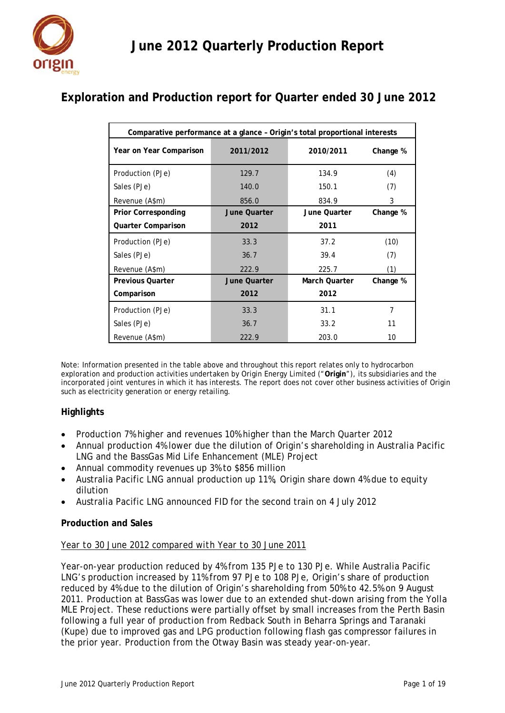

# **Exploration and Production report for Quarter ended 30 June 2012**

| Comparative performance at a glance - Origin's total proportional interests |                     |                      |          |  |  |  |  |  |
|-----------------------------------------------------------------------------|---------------------|----------------------|----------|--|--|--|--|--|
| Year on Year Comparison                                                     | 2011/2012           | 2010/2011            | Change % |  |  |  |  |  |
| Production (PJe)                                                            | 129.7               | 134.9                | (4)      |  |  |  |  |  |
| Sales (PJe)                                                                 | 140.0               | 150.1                | (7)      |  |  |  |  |  |
| Revenue (A\$m)                                                              | 856.0               | 834.9                | 3        |  |  |  |  |  |
| <b>Prior Corresponding</b>                                                  | <b>June Quarter</b> | June Quarter         | Change % |  |  |  |  |  |
| <b>Quarter Comparison</b>                                                   | 2012                | 2011                 |          |  |  |  |  |  |
| Production (PJe)                                                            | 33.3                | 37.2                 | (10)     |  |  |  |  |  |
| Sales (PJe)                                                                 | 36.7                | 39.4                 | (7)      |  |  |  |  |  |
| Revenue (A\$m)                                                              | 222.9               | 225.7                | (1)      |  |  |  |  |  |
| <b>Previous Quarter</b>                                                     | <b>June Quarter</b> | <b>March Quarter</b> | Change % |  |  |  |  |  |
| Comparison                                                                  | 2012                | 2012                 |          |  |  |  |  |  |
| Production (PJe)                                                            | 33.3                | 31.1                 | 7        |  |  |  |  |  |
| Sales (PJe)                                                                 | 36.7                | 33.2                 | 11       |  |  |  |  |  |
| Revenue (A\$m)                                                              | 222.9               | 203.0                | 10       |  |  |  |  |  |

Note: Information presented in the table above and throughout this report relates only to hydrocarbon exploration and production activities undertaken by Origin Energy Limited ("**Origin**"), its subsidiaries and the incorporated joint ventures in which it has interests. The report does not cover other business activities of Origin such as electricity generation or energy retailing.

## **Highlights**

- Production 7% higher and revenues 10% higher than the March Quarter 2012
- Annual production 4% lower due the dilution of Origin's shareholding in Australia Pacific LNG and the BassGas Mid Life Enhancement (MLE) Project
- Annual commodity revenues up 3% to \$856 million
- Australia Pacific LNG annual production up 11%, Origin share down 4% due to equity dilution
- Australia Pacific LNG announced FID for the second train on 4 July 2012

## **Production and Sales**

## *Year to 30 June 2012 compared with Year to 30 June 2011*

Year-on-year production reduced by 4% from 135 PJe to 130 PJe. While Australia Pacific LNG's production increased by 11% from 97 PJe to 108 PJe, Origin's share of production reduced by 4% due to the dilution of Origin's shareholding from 50% to 42.5% on 9 August 2011. Production at BassGas was lower due to an extended shut-down arising from the Yolla MLE Project. These reductions were partially offset by small increases from the Perth Basin following a full year of production from Redback South in Beharra Springs and Taranaki (Kupe) due to improved gas and LPG production following flash gas compressor failures in the prior year. Production from the Otway Basin was steady year-on-year.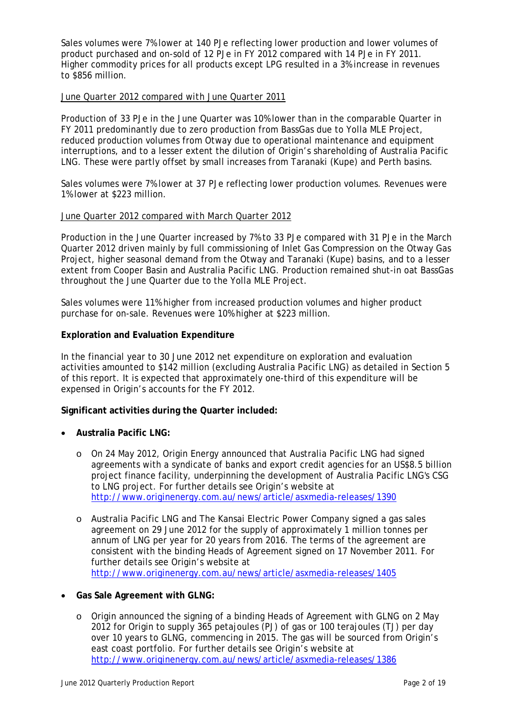Sales volumes were 7% lower at 140 PJe reflecting lower production and lower volumes of product purchased and on-sold of 12 PJe in FY 2012 compared with 14 PJe in FY 2011. Higher commodity prices for all products except LPG resulted in a 3% increase in revenues to \$856 million.

## *June Quarter 2012 compared with June Quarter 2011*

Production of 33 PJe in the June Quarter was 10% lower than in the comparable Quarter in FY 2011 predominantly due to zero production from BassGas due to Yolla MLE Project, reduced production volumes from Otway due to operational maintenance and equipment interruptions, and to a lesser extent the dilution of Origin's shareholding of Australia Pacific LNG. These were partly offset by small increases from Taranaki (Kupe) and Perth basins.

Sales volumes were 7% lower at 37 PJe reflecting lower production volumes. Revenues were 1% lower at \$223 million.

#### *June Quarter 2012 compared with March Quarter 2012*

Production in the June Quarter increased by 7% to 33 PJe compared with 31 PJe in the March Quarter 2012 driven mainly by full commissioning of Inlet Gas Compression on the Otway Gas Project, higher seasonal demand from the Otway and Taranaki (Kupe) basins, and to a lesser extent from Cooper Basin and Australia Pacific LNG. Production remained shut-in oat BassGas throughout the June Quarter due to the Yolla MLE Project.

Sales volumes were 11% higher from increased production volumes and higher product purchase for on-sale. Revenues were 10% higher at \$223 million.

#### **Exploration and Evaluation Expenditure**

In the financial year to 30 June 2012 net expenditure on exploration and evaluation activities amounted to \$142 million (excluding Australia Pacific LNG) as detailed in Section 5 of this report. It is expected that approximately one-third of this expenditure will be expensed in Origin's accounts for the FY 2012.

#### **Significant activities during the Quarter included:**

- **Australia Pacific LNG:**
	- o On 24 May 2012, Origin Energy announced that Australia Pacific LNG had signed agreements with a syndicate of banks and export credit agencies for an US\$8.5 billion project finance facility, underpinning the development of Australia Pacific LNG's CSG to LNG project. For further details see Origin's website at http://www.originenergy.com.au/news/article/asxmedia-releases/1390
	- o Australia Pacific LNG and The Kansai Electric Power Company signed a gas sales agreement on 29 June 2012 for the supply of approximately 1 million tonnes per annum of LNG per year for 20 years from 2016. The terms of the agreement are consistent with the binding Heads of Agreement signed on 17 November 2011. For further details see Origin's website at http://www.originenergy.com.au/news/article/asxmedia-releases/1405

## • **Gas Sale Agreement with GLNG:**

o Origin announced the signing of a binding Heads of Agreement with GLNG on 2 May 2012 for Origin to supply 365 petajoules (PJ) of gas or 100 terajoules (TJ) per day over 10 years to GLNG, commencing in 2015. The gas will be sourced from Origin's east coast portfolio. For further details see Origin's website at http://www.originenergy.com.au/news/article/asxmedia-releases/1386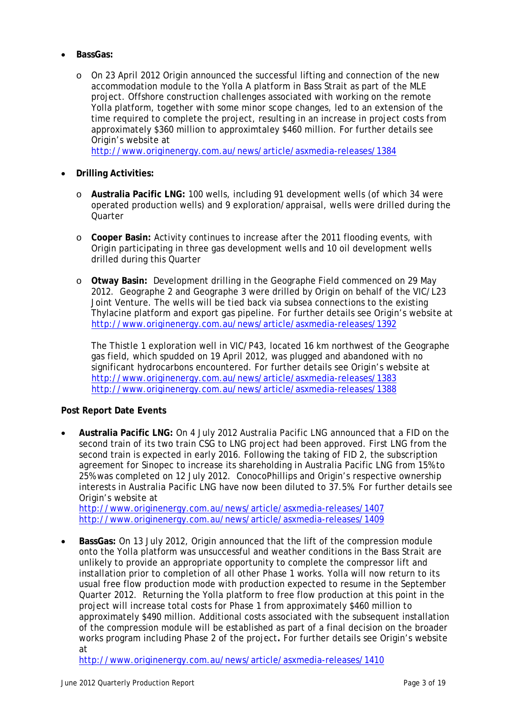- **BassGas:**
	- o On 23 April 2012 Origin announced the successful lifting and connection of the new accommodation module to the Yolla A platform in Bass Strait as part of the MLE project. Offshore construction challenges associated with working on the remote Yolla platform, together with some minor scope changes, led to an extension of the time required to complete the project, resulting in an increase in project costs from approximately \$360 million to approximtaley \$460 million. For further details see Origin's website at

http://www.originenergy.com.au/news/article/asxmedia-releases/1384

- **Drilling Activities:**
	- o **Australia Pacific LNG:** 100 wells, including 91 development wells (of which 34 were operated production wells) and 9 exploration/appraisal, wells were drilled during the **Quarter**
	- o **Cooper Basin:** Activity continues to increase after the 2011 flooding events, with Origin participating in three gas development wells and 10 oil development wells drilled during this Quarter
	- o **Otway Basin:** Development drilling in the Geographe Field commenced on 29 May 2012. Geographe 2 and Geographe 3 were drilled by Origin on behalf of the VIC/L23 Joint Venture. The wells will be tied back via subsea connections to the existing Thylacine platform and export gas pipeline. For further details see Origin's website at http://www.originenergy.com.au/news/article/asxmedia-releases/1392

The Thistle 1 exploration well in VIC/P43, located 16 km northwest of the Geographe gas field, which spudded on 19 April 2012, was plugged and abandoned with no significant hydrocarbons encountered. For further details see Origin's website at http://www.originenergy.com.au/news/article/asxmedia-releases/1383 http://www.originenergy.com.au/news/article/asxmedia-releases/1388

## **Post Report Date Events**

• **Australia Pacific LNG:** On 4 July 2012 Australia Pacific LNG announced that a FID on the second train of its two train CSG to LNG project had been approved. First LNG from the second train is expected in early 2016. Following the taking of FID 2, the subscription agreement for Sinopec to increase its shareholding in Australia Pacific LNG from 15% to 25% was completed on 12 July 2012. ConocoPhillips and Origin's respective ownership interests in Australia Pacific LNG have now been diluted to 37.5%. For further details see Origin's website at

http://www.originenergy.com.au/news/article/asxmedia-releases/1407 http://www.originenergy.com.au/news/article/asxmedia-releases/1409

• **BassGas:** On 13 July 2012, Origin announced that the lift of the compression module onto the Yolla platform was unsuccessful and weather conditions in the Bass Strait are unlikely to provide an appropriate opportunity to complete the compressor lift and installation prior to completion of all other Phase 1 works. Yolla will now return to its usual free flow production mode with production expected to resume in the September Quarter 2012. Returning the Yolla platform to free flow production at this point in the project will increase total costs for Phase 1 from approximately \$460 million to approximately \$490 million. Additional costs associated with the subsequent installation of the compression module will be established as part of a final decision on the broader works program including Phase 2 of the project**.** For further details see Origin's website at

http://www.originenergy.com.au/news/article/asxmedia-releases/1410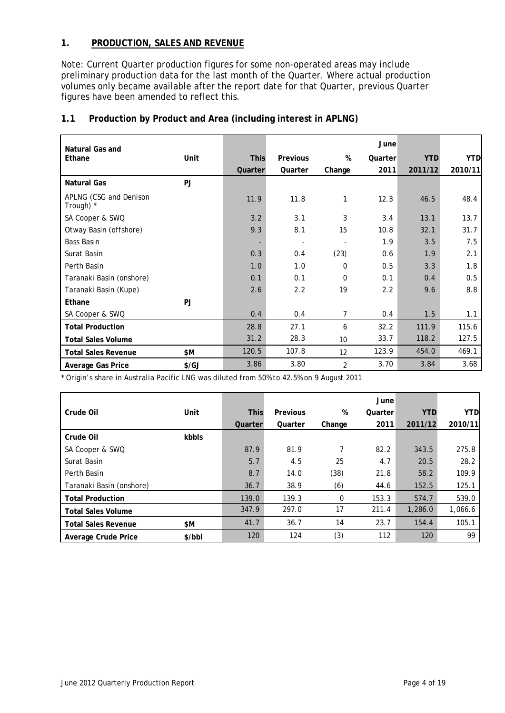## **1. PRODUCTION, SALES AND REVENUE**

Note: Current Quarter production figures for some non-operated areas may include preliminary production data for the last month of the Quarter. Where actual production volumes only became available after the report date for that Quarter, previous Quarter figures have been amended to reflect this.

| Natural Gas and                     |               |             |                 |                          | June    |            |            |
|-------------------------------------|---------------|-------------|-----------------|--------------------------|---------|------------|------------|
| Ethane                              | Unit          | <b>This</b> | <b>Previous</b> | %                        | Quarter | <b>YTD</b> | <b>YTD</b> |
|                                     |               | Quarter     | Quarter         | Change                   | 2011    | 2011/12    | 2010/11    |
| Natural Gas                         | PJ            |             |                 |                          |         |            |            |
| APLNG (CSG and Denison<br>Trough) * |               | 11.9        | 11.8            | 1                        | 12.3    | 46.5       | 48.4       |
| SA Cooper & SWQ                     |               | 3.2         | 3.1             | 3                        | 3.4     | 13.1       | 13.7       |
| Otway Basin (offshore)              |               | 9.3         | 8.1             | 15                       | 10.8    | 32.1       | 31.7       |
| Bass Basin                          |               | ٠           | $\blacksquare$  | $\overline{\phantom{a}}$ | 1.9     | 3.5        | 7.5        |
| Surat Basin                         |               | 0.3         | 0.4             | (23)                     | 0.6     | 1.9        | 2.1        |
| Perth Basin                         |               | 1.0         | 1.0             | $\Omega$                 | 0.5     | 3.3        | 1.8        |
| Taranaki Basin (onshore)            |               | 0.1         | 0.1             | $\Omega$                 | 0.1     | 0.4        | 0.5        |
| Taranaki Basin (Kupe)               |               | 2.6         | 2.2             | 19                       | 2.2     | 9.6        | 8.8        |
| Ethane                              | <b>PJ</b>     |             |                 |                          |         |            |            |
| SA Cooper & SWQ                     |               | 0.4         | 0.4             | 7                        | 0.4     | 1.5        | 1.1        |
| <b>Total Production</b>             |               | 28.8        | 27.1            | 6                        | 32.2    | 111.9      | 115.6      |
| <b>Total Sales Volume</b>           |               | 31.2        | 28.3            | 10                       | 33.7    | 118.2      | 127.5      |
| <b>Total Sales Revenue</b>          | \$M           | 120.5       | 107.8           | 12                       | 123.9   | 454.0      | 469.1      |
| Average Gas Price                   | $\frac{f}{G}$ | 3.86        | 3.80            | $\overline{2}$           | 3.70    | 3.84       | 3.68       |

## **1.1 Production by Product and Area (including interest in APLNG)**

\* Origin's share in Australia Pacific LNG was diluted from 50% to 42.5% on 9 August 2011

|                            |        |             |          |        | June    |            |            |
|----------------------------|--------|-------------|----------|--------|---------|------------|------------|
| Crude Oil                  | Unit   | <b>This</b> | Previous | %      | Quarter | <b>YTD</b> | <b>YTD</b> |
|                            |        | Quarter     | Quarter  | Change | 2011    | 2011/12    | 2010/11    |
| Crude Oil                  | kbbls  |             |          |        |         |            |            |
| SA Cooper & SWQ            |        | 87.9        | 81.9     | 7      | 82.2    | 343.5      | 275.8      |
| Surat Basin                |        | 5.7         | 4.5      | 25     | 4.7     | 20.5       | 28.2       |
| Perth Basin                |        | 8.7         | 14.0     | (38)   | 21.8    | 58.2       | 109.9      |
| Taranaki Basin (onshore)   |        | 36.7        | 38.9     | (6)    | 44.6    | 152.5      | 125.1      |
| <b>Total Production</b>    |        | 139.0       | 139.3    | 0      | 153.3   | 574.7      | 539.0      |
| <b>Total Sales Volume</b>  |        | 347.9       | 297.0    | 17     | 211.4   | 1,286.0    | 1,066.6    |
| <b>Total Sales Revenue</b> | \$M    | 41.7        | 36.7     | 14     | 23.7    | 154.4      | 105.1      |
| Average Crude Price        | \$/bbI | 120         | 124      | (3)    | 112     | 120        | 99         |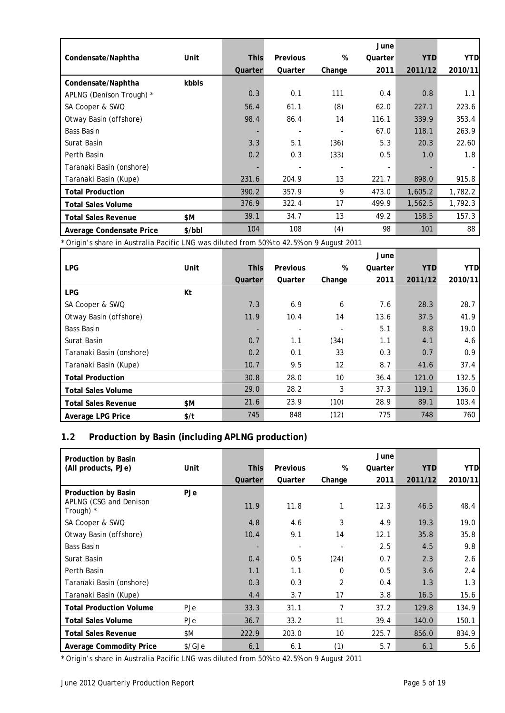|                            |        |             |                 |        | June    |            |            |
|----------------------------|--------|-------------|-----------------|--------|---------|------------|------------|
| Condensate/Naphtha         | Unit   | <b>This</b> | <b>Previous</b> | %      | Quarter | <b>YTD</b> | <b>YTD</b> |
|                            |        | Quarter     | Quarter         | Change | 2011    | 2011/12    | 2010/11    |
| Condensate/Naphtha         | kbbls  |             |                 |        |         |            |            |
| APLNG (Denison Trough) *   |        | 0.3         | 0.1             | 111    | 0.4     | 0.8        | 1.1        |
| SA Cooper & SWQ            |        | 56.4        | 61.1            | (8)    | 62.0    | 227.1      | 223.6      |
| Otway Basin (offshore)     |        | 98.4        | 86.4            | 14     | 116.1   | 339.9      | 353.4      |
| Bass Basin                 |        |             |                 | ٠      | 67.0    | 118.1      | 263.9      |
| Surat Basin                |        | 3.3         | 5.1             | (36)   | 5.3     | 20.3       | 22.60      |
| Perth Basin                |        | 0.2         | 0.3             | (33)   | 0.5     | 1.0        | 1.8        |
| Taranaki Basin (onshore)   |        |             |                 |        | -       |            |            |
| Taranaki Basin (Kupe)      |        | 231.6       | 204.9           | 13     | 221.7   | 898.0      | 915.8      |
| <b>Total Production</b>    |        | 390.2       | 357.9           | 9      | 473.0   | 1,605.2    | 1,782.2    |
| <b>Total Sales Volume</b>  |        | 376.9       | 322.4           | 17     | 499.9   | 1,562.5    | 1,792.3    |
| <b>Total Sales Revenue</b> | \$M    | 39.1        | 34.7            | 13     | 49.2    | 158.5      | 157.3      |
| Average Condensate Price   | \$/bbl | 104         | 108             | (4)    | 98      | 101        | 88         |

\* Origin's share in Australia Pacific LNG was diluted from 50% to 42.5% on 9 August 2011

|                            |      |             |                 |                   | June    |            |            |
|----------------------------|------|-------------|-----------------|-------------------|---------|------------|------------|
| <b>LPG</b>                 | Unit | <b>This</b> | <b>Previous</b> | %                 | Quarter | <b>YTD</b> | <b>YTD</b> |
|                            |      | Quarter     | Quarter         | Change            | 2011    | 2011/12    | 2010/11    |
| <b>LPG</b>                 | Kt   |             |                 |                   |         |            |            |
| SA Cooper & SWQ            |      | 7.3         | 6.9             | 6                 | 7.6     | 28.3       | 28.7       |
| Otway Basin (offshore)     |      | 11.9        | 10.4            | 14                | 13.6    | 37.5       | 41.9       |
| <b>Bass Basin</b>          |      |             |                 |                   | 5.1     | 8.8        | 19.0       |
| Surat Basin                |      | 0.7         | 1.1             | (34)              | 1.1     | 4.1        | 4.6        |
| Taranaki Basin (onshore)   |      | 0.2         | 0.1             | 33                | 0.3     | 0.7        | 0.9        |
| Taranaki Basin (Kupe)      |      | 10.7        | 9.5             | $12 \overline{ }$ | 8.7     | 41.6       | 37.4       |
| <b>Total Production</b>    |      | 30.8        | 28.0            | 10                | 36.4    | 121.0      | 132.5      |
| <b>Total Sales Volume</b>  |      | 29.0        | 28.2            | 3                 | 37.3    | 119.1      | 136.0      |
| <b>Total Sales Revenue</b> | \$M  | 21.6        | 23.9            | (10)              | 28.9    | 89.1       | 103.4      |
| Average LPG Price          | \$/t | 745         | 848             | (12)              | 775     | 748        | 760        |

## **1.2 Production by Basin (including APLNG production)**

| Production by Basin                 |        |             |          |          | June    |            |            |
|-------------------------------------|--------|-------------|----------|----------|---------|------------|------------|
| (All products, PJe)                 | Unit   | <b>This</b> | Previous | %        | Quarter | <b>YTD</b> | <b>YTD</b> |
|                                     |        | Quarter     | Quarter  | Change   | 2011    | 2011/12    | 2010/11    |
| Production by Basin                 | PJe    |             |          |          |         |            |            |
| APLNG (CSG and Denison<br>Trough) * |        | 11.9        | 11.8     | 1        | 12.3    | 46.5       | 48.4       |
| SA Cooper & SWQ                     |        | 4.8         | 4.6      | 3        | 4.9     | 19.3       | 19.0       |
| Otway Basin (offshore)              |        | 10.4        | 9.1      | 14       | 12.1    | 35.8       | 35.8       |
| Bass Basin                          |        |             |          |          | 2.5     | 4.5        | 9.8        |
| Surat Basin                         |        | 0.4         | 0.5      | (24)     | 0.7     | 2.3        | 2.6        |
| Perth Basin                         |        | 1.1         | 1.1      | $\Omega$ | 0.5     | 3.6        | 2.4        |
| Taranaki Basin (onshore)            |        | 0.3         | 0.3      | 2        | 0.4     | 1.3        | 1.3        |
| Taranaki Basin (Kupe)               |        | 4.4         | 3.7      | 17       | 3.8     | 16.5       | 15.6       |
| <b>Total Production Volume</b>      | PJe    | 33.3        | 31.1     | 7        | 37.2    | 129.8      | 134.9      |
| <b>Total Sales Volume</b>           | PJe    | 36.7        | 33.2     | 11       | 39.4    | 140.0      | 150.1      |
| <b>Total Sales Revenue</b>          | \$M    | 222.9       | 203.0    | 10       | 225.7   | 856.0      | 834.9      |
| <b>Average Commodity Price</b>      | \$/GJe | 6.1         | 6.1      | (1)      | 5.7     | 6.1        | 5.6        |

\* Origin's share in Australia Pacific LNG was diluted from 50% to 42.5% on 9 August 2011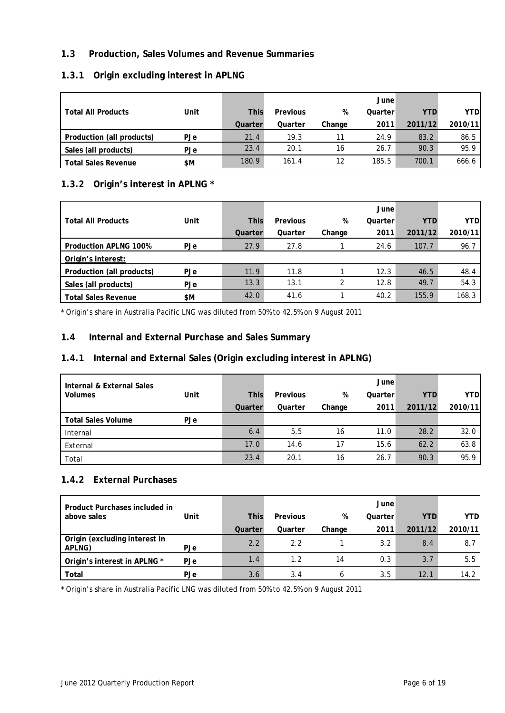## **1.3 Production, Sales Volumes and Revenue Summaries**

## **1.3.1 Origin excluding interest in APLNG**

|                            |      |             |          |        | June    |            |            |
|----------------------------|------|-------------|----------|--------|---------|------------|------------|
| <b>Total All Products</b>  | Unit | <b>This</b> | Previous | %      | Quarter | <b>YTD</b> | <b>YTD</b> |
|                            |      | Quarter     | Quarter  | Change | 2011    | 2011/12    | 2010/11    |
| Production (all products)  | PJe  | 21.4        | 19.3     |        | 24.9    | 83.2       | 86.5       |
| Sales (all products)       | PJe  | 23.4        | 20.1     | 16     | 26.7    | 90.3       | 95.9       |
| <b>Total Sales Revenue</b> | \$M  | 180.9       | 161.4    |        | 185.5   | 700.1      | 666.6      |

## **1.3.2 Origin's interest in APLNG \***

|                              |            |             |          |        | June    |            |            |
|------------------------------|------------|-------------|----------|--------|---------|------------|------------|
| <b>Total All Products</b>    | Unit       | <b>This</b> | Previous | %      | Quarter | <b>YTD</b> | <b>YTD</b> |
|                              |            | Quarter     | Quarter  | Change | 2011    | 2011/12    | 2010/11    |
| <b>Production APLNG 100%</b> | <b>PJe</b> | 27.9        | 27.8     |        | 24.6    | 107.7      | 96.7       |
| Origin's interest:           |            |             |          |        |         |            |            |
| Production (all products)    | PJe        | 11.9        | 11.8     |        | 12.3    | 46.5       | 48.4       |
| Sales (all products)         | PJe        | 13.3        | 13.1     | ↑      | 12.8    | 49.7       | 54.3       |
| <b>Total Sales Revenue</b>   | \$M        | 42.0        | 41.6     |        | 40.2    | 155.9      | 168.3      |

\* Origin's share in Australia Pacific LNG was diluted from 50% to 42.5% on 9 August 2011

## **1.4 Internal and External Purchase and Sales Summary**

## **1.4.1 Internal and External Sales (Origin excluding interest in APLNG)**

| Internal & External Sales<br><b>Volumes</b> | Unit       | <b>This</b> | Previous | %      | June<br>Quarter | <b>YTD</b> | <b>YTD</b> |
|---------------------------------------------|------------|-------------|----------|--------|-----------------|------------|------------|
|                                             |            |             |          |        |                 |            |            |
|                                             |            | Quarter     | Quarter  | Change | 2011            | 2011/12    | 2010/11    |
| <b>Total Sales Volume</b>                   | <b>PJe</b> |             |          |        |                 |            |            |
| Internal                                    |            | 6.4         | 5.5      | 16     | 11.0            | 28.2       | 32.0       |
| External                                    |            | 17.0        | 14.6     | 17     | 15.6            | 62.2       | 63.8       |
| Total                                       |            | 23.4        | 20.1     | 16     | 26.7            | 90.3       | 95.9       |

## **1.4.2 External Purchases**

| Product Purchases included in           |            |             |          |        | June    |            |            |
|-----------------------------------------|------------|-------------|----------|--------|---------|------------|------------|
| above sales                             | Unit       | <b>This</b> | Previous | %      | Quarter | <b>YTD</b> | <b>YTD</b> |
|                                         |            | Quarter     | Quarter  | Change | 2011    | 2011/12    | 2010/11    |
| Origin (excluding interest in<br>APLNG) | <b>PJe</b> | 2.2         | 2.2      |        | 3.2     | 8.4        | 8.7        |
| Origin's interest in APLNG *            | <b>PJe</b> | 1.4         | 1.2      | 14     | 0.3     | 3.7        | 5.5        |
| Total                                   | <b>PJe</b> | 3.6         | 3.4      | h      | 3.5     | 12.1       | 14.2       |

\* Origin's share in Australia Pacific LNG was diluted from 50% to 42.5% on 9 August 2011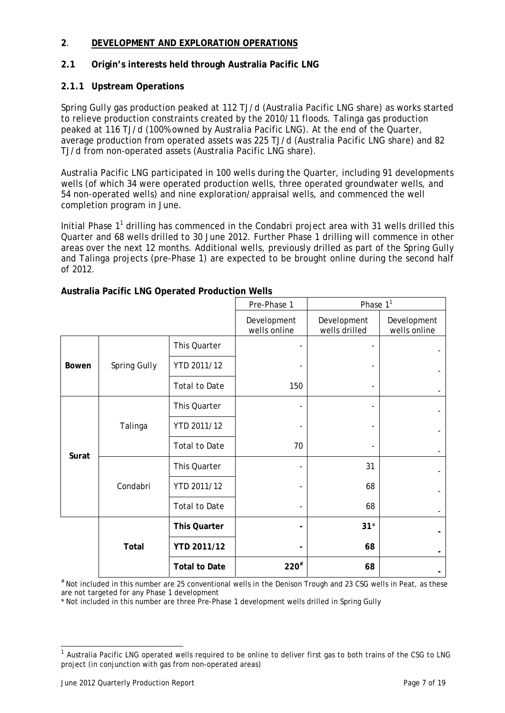## **2**. **DEVELOPMENT AND EXPLORATION OPERATIONS**

## **2.1 Origin's interests held through Australia Pacific LNG**

## **2.1.1 Upstream Operations**

Spring Gully gas production peaked at 112 TJ/d (Australia Pacific LNG share) as works started to relieve production constraints created by the 2010/11 floods. Talinga gas production peaked at 116 TJ/d (100% owned by Australia Pacific LNG). At the end of the Quarter, average production from operated assets was 225 TJ/d (Australia Pacific LNG share) and 82 TJ/d from non-operated assets (Australia Pacific LNG share).

Australia Pacific LNG participated in 100 wells during the Quarter, including 91 developments wells (of which 34 were operated production wells, three operated groundwater wells, and 54 non-operated wells) and nine exploration/appraisal wells, and commenced the well completion program in June.

Initial Phase  $1<sup>1</sup>$  drilling has commenced in the Condabri project area with 31 wells drilled this Quarter and 68 wells drilled to 30 June 2012. Further Phase 1 drilling will commence in other areas over the next 12 months. Additional wells, previously drilled as part of the Spring Gully and Talinga projects (pre-Phase 1) are expected to be brought online during the second half of 2012.

|              |                      |                      | Pre-Phase 1                 | Phase $1^1$                  |                             |
|--------------|----------------------|----------------------|-----------------------------|------------------------------|-----------------------------|
|              |                      |                      | Development<br>wells online | Development<br>wells drilled | Development<br>wells online |
|              |                      | This Quarter         |                             |                              |                             |
| <b>Bowen</b> | Spring Gully         | YTD 2011/12          |                             |                              |                             |
|              | <b>Total to Date</b> | 150                  |                             |                              |                             |
|              |                      | This Quarter         |                             |                              |                             |
|              | Talinga              | YTD 2011/12          |                             |                              |                             |
| Surat        | <b>Total to Date</b> | 70                   |                             |                              |                             |
|              |                      | This Quarter         |                             | 31                           |                             |
|              | Condabri             | YTD 2011/12          |                             | 68                           |                             |
|              | <b>Total to Date</b> |                      | 68                          |                              |                             |
|              |                      | <b>This Quarter</b>  |                             | $31*$                        |                             |
|              | Total                | YTD 2011/12          |                             | 68                           |                             |
|              |                      | <b>Total to Date</b> | $220^{#}$                   | 68                           |                             |

## **Australia Pacific LNG Operated Production Wells**

# Not included in this number are 25 conventional wells in the Denison Trough and 23 CSG wells in Peat, as these are not targeted for any Phase 1 development

\* Not included in this number are three Pre-Phase 1 development wells drilled in Spring Gully

1

<sup>&</sup>lt;sup>1</sup> Australia Pacific LNG operated wells required to be online to deliver first gas to both trains of the CSG to LNG project (in conjunction with gas from non-operated areas)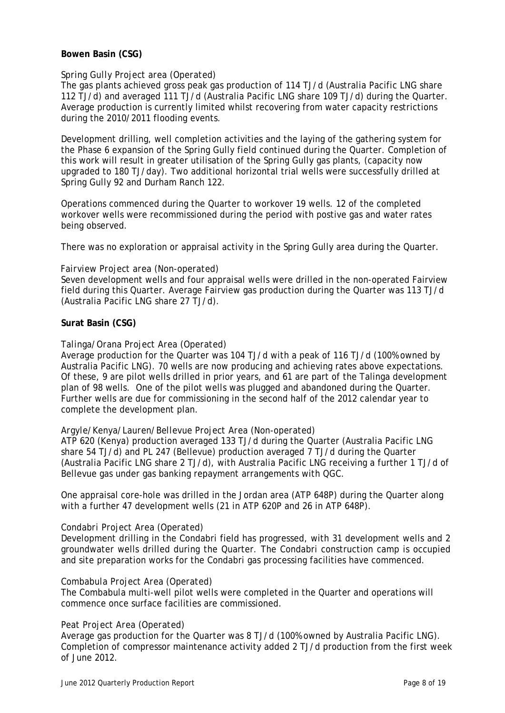### **Bowen Basin (CSG)**

#### *Spring Gully Project area (Operated)*

The gas plants achieved gross peak gas production of 114 TJ/d (Australia Pacific LNG share 112 TJ/d) and averaged 111 TJ/d (Australia Pacific LNG share 109 TJ/d) during the Quarter. Average production is currently limited whilst recovering from water capacity restrictions during the 2010/2011 flooding events.

Development drilling, well completion activities and the laying of the gathering system for the Phase 6 expansion of the Spring Gully field continued during the Quarter. Completion of this work will result in greater utilisation of the Spring Gully gas plants, (capacity now upgraded to 180 TJ/day). Two additional horizontal trial wells were successfully drilled at Spring Gully 92 and Durham Ranch 122.

Operations commenced during the Quarter to workover 19 wells. 12 of the completed workover wells were recommissioned during the period with postive gas and water rates being observed.

There was no exploration or appraisal activity in the Spring Gully area during the Quarter.

#### *Fairview Project area (Non-operated)*

Seven development wells and four appraisal wells were drilled in the non-operated Fairview field during this Quarter. Average Fairview gas production during the Quarter was 113 TJ/d (Australia Pacific LNG share 27 TJ/d).

#### **Surat Basin (CSG)**

#### *Talinga/Orana Project Area (Operated)*

Average production for the Quarter was 104 TJ/d with a peak of 116 TJ/d (100% owned by Australia Pacific LNG). 70 wells are now producing and achieving rates above expectations. Of these, 9 are pilot wells drilled in prior years, and 61 are part of the Talinga development plan of 98 wells. One of the pilot wells was plugged and abandoned during the Quarter. Further wells are due for commissioning in the second half of the 2012 calendar year to complete the development plan.

#### *Argyle/Kenya/Lauren/Bellevue Project Area (Non-operated)*

ATP 620 (Kenya) production averaged 133 TJ/d during the Quarter (Australia Pacific LNG share 54 TJ/d) and PL 247 (Bellevue) production averaged 7 TJ/d during the Quarter (Australia Pacific LNG share 2 TJ/d), with Australia Pacific LNG receiving a further 1 TJ/d of Bellevue gas under gas banking repayment arrangements with QGC.

One appraisal core-hole was drilled in the Jordan area (ATP 648P) during the Quarter along with a further 47 development wells (21 in ATP 620P and 26 in ATP 648P).

#### *Condabri Project Area (Operated)*

Development drilling in the Condabri field has progressed, with 31 development wells and 2 groundwater wells drilled during the Quarter. The Condabri construction camp is occupied and site preparation works for the Condabri gas processing facilities have commenced.

#### *Combabula Project Area (Operated)*

The Combabula multi-well pilot wells were completed in the Quarter and operations will commence once surface facilities are commissioned.

#### *Peat Project Area (Operated)*

Average gas production for the Quarter was 8 TJ/d (100% owned by Australia Pacific LNG). Completion of compressor maintenance activity added 2 TJ/d production from the first week of June 2012.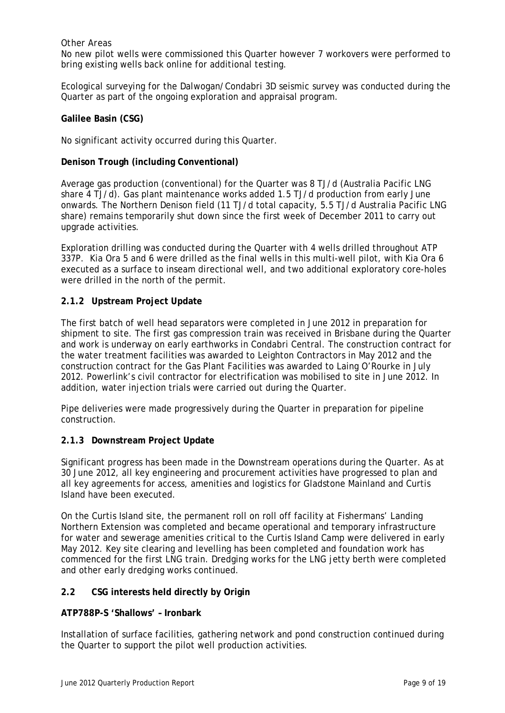### *Other Areas*

No new pilot wells were commissioned this Quarter however 7 workovers were performed to bring existing wells back online for additional testing.

Ecological surveying for the Dalwogan/Condabri 3D seismic survey was conducted during the Quarter as part of the ongoing exploration and appraisal program.

#### **Galilee Basin (CSG)**

No significant activity occurred during this Quarter.

#### **Denison Trough (including Conventional)**

Average gas production (conventional) for the Quarter was 8 TJ/d (Australia Pacific LNG share 4 TJ/d). Gas plant maintenance works added 1.5 TJ/d production from early June onwards. The Northern Denison field (11 TJ/d total capacity, 5.5 TJ/d Australia Pacific LNG share) remains temporarily shut down since the first week of December 2011 to carry out upgrade activities.

Exploration drilling was conducted during the Quarter with 4 wells drilled throughout ATP 337P. Kia Ora 5 and 6 were drilled as the final wells in this multi-well pilot, with Kia Ora 6 executed as a surface to inseam directional well, and two additional exploratory core-holes were drilled in the north of the permit.

#### **2.1.2 Upstream Project Update**

The first batch of well head separators were completed in June 2012 in preparation for shipment to site. The first gas compression train was received in Brisbane during the Quarter and work is underway on early earthworks in Condabri Central. The construction contract for the water treatment facilities was awarded to Leighton Contractors in May 2012 and the construction contract for the Gas Plant Facilities was awarded to Laing O'Rourke in July 2012. Powerlink's civil contractor for electrification was mobilised to site in June 2012. In addition, water injection trials were carried out during the Quarter.

Pipe deliveries were made progressively during the Quarter in preparation for pipeline construction.

## **2.1.3 Downstream Project Update**

Significant progress has been made in the Downstream operations during the Quarter. As at 30 June 2012, all key engineering and procurement activities have progressed to plan and all key agreements for access, amenities and logistics for Gladstone Mainland and Curtis Island have been executed.

On the Curtis Island site, the permanent roll on roll off facility at Fishermans' Landing Northern Extension was completed and became operational and temporary infrastructure for water and sewerage amenities critical to the Curtis Island Camp were delivered in early May 2012. Key site clearing and levelling has been completed and foundation work has commenced for the first LNG train. Dredging works for the LNG jetty berth were completed and other early dredging works continued.

## **2.2 CSG interests held directly by Origin**

#### **ATP788P-S 'Shallows' – Ironbark**

Installation of surface facilities, gathering network and pond construction continued during the Quarter to support the pilot well production activities.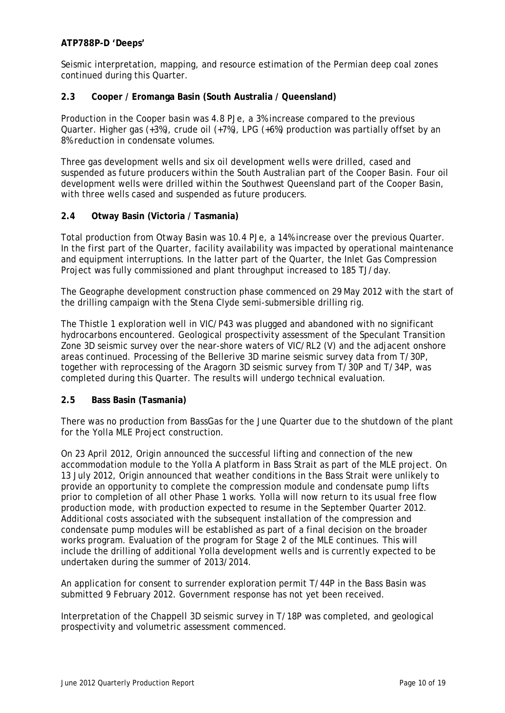## **ATP788P-D 'Deeps'**

Seismic interpretation, mapping, and resource estimation of the Permian deep coal zones continued during this Quarter.

## **2.3 Cooper / Eromanga Basin (South Australia / Queensland)**

Production in the Cooper basin was 4.8 PJe, a 3% increase compared to the previous Quarter. Higher gas (+3%), crude oil (+7%), LPG (+6%) production was partially offset by an 8% reduction in condensate volumes.

Three gas development wells and six oil development wells were drilled, cased and suspended as future producers within the South Australian part of the Cooper Basin. Four oil development wells were drilled within the Southwest Queensland part of the Cooper Basin, with three wells cased and suspended as future producers.

#### **2.4 Otway Basin (Victoria / Tasmania)**

Total production from Otway Basin was 10.4 PJe, a 14% increase over the previous Quarter. In the first part of the Quarter, facility availability was impacted by operational maintenance and equipment interruptions. In the latter part of the Quarter, the Inlet Gas Compression Project was fully commissioned and plant throughput increased to 185 TJ/day.

The Geographe development construction phase commenced on 29 May 2012 with the start of the drilling campaign with the Stena Clyde semi-submersible drilling rig.

The Thistle 1 exploration well in VIC/P43 was plugged and abandoned with no significant hydrocarbons encountered. Geological prospectivity assessment of the Speculant Transition Zone 3D seismic survey over the near-shore waters of VIC/RL2 (V) and the adjacent onshore areas continued. Processing of the Bellerive 3D marine seismic survey data from T/30P, together with reprocessing of the Aragorn 3D seismic survey from T/30P and T/34P, was completed during this Quarter. The results will undergo technical evaluation.

#### **2.5 Bass Basin (Tasmania)**

There was no production from BassGas for the June Quarter due to the shutdown of the plant for the Yolla MLE Project construction.

On 23 April 2012, Origin announced the successful lifting and connection of the new accommodation module to the Yolla A platform in Bass Strait as part of the MLE project. On 13 July 2012, Origin announced that weather conditions in the Bass Strait were unlikely to provide an opportunity to complete the compression module and condensate pump lifts prior to completion of all other Phase 1 works. Yolla will now return to its usual free flow production mode, with production expected to resume in the September Quarter 2012. Additional costs associated with the subsequent installation of the compression and condensate pump modules will be established as part of a final decision on the broader works program. Evaluation of the program for Stage 2 of the MLE continues. This will include the drilling of additional Yolla development wells and is currently expected to be undertaken during the summer of 2013/2014.

An application for consent to surrender exploration permit T/44P in the Bass Basin was submitted 9 February 2012. Government response has not yet been received.

Interpretation of the Chappell 3D seismic survey in T/18P was completed, and geological prospectivity and volumetric assessment commenced.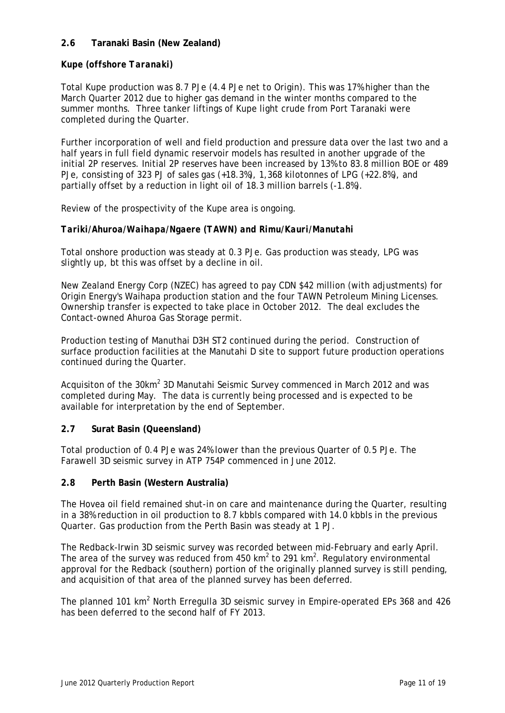## **2.6 Taranaki Basin (New Zealand)**

## *Kupe (offshore Taranaki)*

Total Kupe production was 8.7 PJe (4.4 PJe net to Origin). This was 17% higher than the March Quarter 2012 due to higher gas demand in the winter months compared to the summer months. Three tanker liftings of Kupe light crude from Port Taranaki were completed during the Quarter.

Further incorporation of well and field production and pressure data over the last two and a half years in full field dynamic reservoir models has resulted in another upgrade of the initial 2P reserves. Initial 2P reserves have been increased by 13% to 83.8 million BOE or 489 PJe, consisting of 323 PJ of sales gas (+18.3%), 1,368 kilotonnes of LPG (+22.8%), and partially offset by a reduction in light oil of 18.3 million barrels (-1.8%).

Review of the prospectivity of the Kupe area is ongoing.

#### *Tariki/Ahuroa/Waihapa/Ngaere (TAWN) and Rimu/Kauri/Manutahi*

Total onshore production was steady at 0.3 PJe. Gas production was steady, LPG was slightly up, bt this was offset by a decline in oil.

New Zealand Energy Corp (NZEC) has agreed to pay CDN \$42 million (with adjustments) for Origin Energy's Waihapa production station and the four TAWN Petroleum Mining Licenses. Ownership transfer is expected to take place in October 2012. The deal excludes the Contact-owned Ahuroa Gas Storage permit.

Production testing of Manuthai D3H ST2 continued during the period. Construction of surface production facilities at the Manutahi D site to support future production operations continued during the Quarter.

Acquisiton of the 30km<sup>2</sup> 3D Manutahi Seismic Survey commenced in March 2012 and was completed during May. The data is currently being processed and is expected to be available for interpretation by the end of September.

## **2.7 Surat Basin (Queensland)**

Total production of 0.4 PJe was 24% lower than the previous Quarter of 0.5 PJe. The Farawell 3D seismic survey in ATP 754P commenced in June 2012.

#### **2.8 Perth Basin (Western Australia)**

The Hovea oil field remained shut-in on care and maintenance during the Quarter, resulting in a 38% reduction in oil production to 8.7 kbbls compared with 14.0 kbbls in the previous Quarter. Gas production from the Perth Basin was steady at 1 PJ.

The Redback-Irwin 3D seismic survey was recorded between mid-February and early April. The area of the survey was reduced from 450  $km^2$  to 291  $km^2$ . Regulatory environmental approval for the Redback (southern) portion of the originally planned survey is still pending, and acquisition of that area of the planned survey has been deferred.

The planned 101 km<sup>2</sup> North Erregulla 3D seismic survey in Empire-operated EPs 368 and 426 has been deferred to the second half of FY 2013.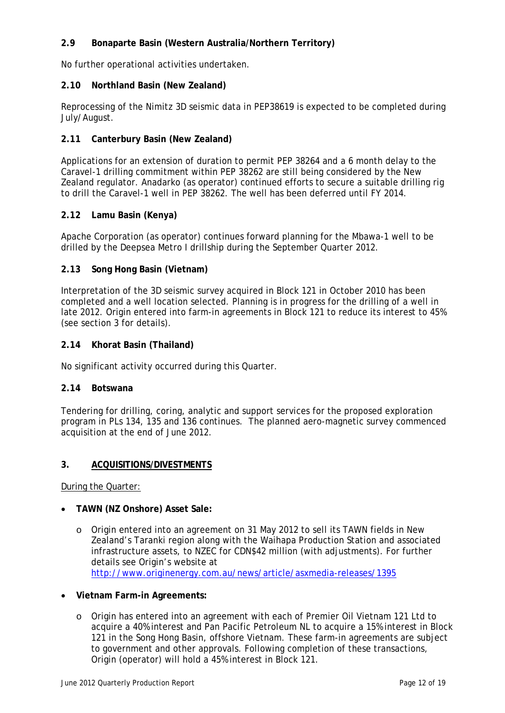## **2.9 Bonaparte Basin (Western Australia/Northern Territory)**

No further operational activities undertaken.

#### **2.10 Northland Basin (New Zealand)**

Reprocessing of the Nimitz 3D seismic data in PEP38619 is expected to be completed during July/August.

### **2.11 Canterbury Basin (New Zealand)**

Applications for an extension of duration to permit PEP 38264 and a 6 month delay to the Caravel-1 drilling commitment within PEP 38262 are still being considered by the New Zealand regulator. Anadarko (as operator) continued efforts to secure a suitable drilling rig to drill the Caravel-1 well in PEP 38262. The well has been deferred until FY 2014.

#### **2.12 Lamu Basin (Kenya)**

Apache Corporation (as operator) continues forward planning for the Mbawa-1 well to be drilled by the Deepsea Metro I drillship during the September Quarter 2012.

#### **2.13 Song Hong Basin (Vietnam)**

Interpretation of the 3D seismic survey acquired in Block 121 in October 2010 has been completed and a well location selected. Planning is in progress for the drilling of a well in late 2012. Origin entered into farm-in agreements in Block 121 to reduce its interest to 45% (see section 3 for details).

#### **2.14 Khorat Basin (Thailand)**

No significant activity occurred during this Quarter.

#### **2.14 Botswana**

Tendering for drilling, coring, analytic and support services for the proposed exploration program in PLs 134, 135 and 136 continues. The planned aero-magnetic survey commenced acquisition at the end of June 2012.

#### **3. ACQUISITIONS/DIVESTMENTS**

During the Quarter:

- **TAWN (NZ Onshore) Asset Sale:** 
	- o Origin entered into an agreement on 31 May 2012 to sell its TAWN fields in New Zealand's Taranki region along with the Waihapa Production Station and associated infrastructure assets, to NZEC for CDN\$42 million (with adjustments). For further details see Origin's website at http://www.originenergy.com.au/news/article/asxmedia-releases/1395
- **Vietnam Farm-in Agreements:** 
	- o Origin has entered into an agreement with each of Premier Oil Vietnam 121 Ltd to acquire a 40% interest and Pan Pacific Petroleum NL to acquire a 15% interest in Block 121 in the Song Hong Basin, offshore Vietnam. These farm-in agreements are subject to government and other approvals. Following completion of these transactions, Origin (operator) will hold a 45% interest in Block 121.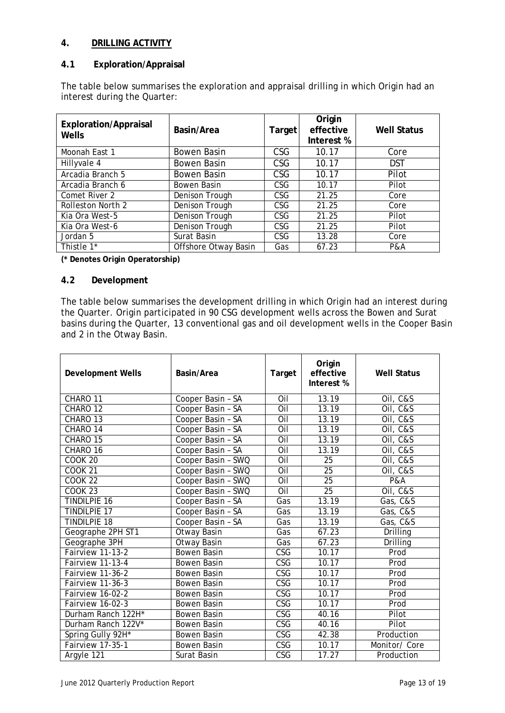## **4. DRILLING ACTIVITY**

## **4.1 Exploration/Appraisal**

The table below summarises the exploration and appraisal drilling in which Origin had an interest during the Quarter:

| <b>Exploration/Appraisal</b><br>Wells | Basin/Area           | Target     | Origin<br>effective<br>Interest % | <b>Well Status</b> |
|---------------------------------------|----------------------|------------|-----------------------------------|--------------------|
| Moonah East 1                         | Bowen Basin          | CSG        | 10.17                             | Core               |
| Hillyvale 4                           | Bowen Basin          | <b>CSG</b> | 10.17                             | <b>DST</b>         |
| Arcadia Branch 5                      | Bowen Basin          | <b>CSG</b> | 10.17                             | Pilot              |
| Arcadia Branch 6                      | Bowen Basin          | <b>CSG</b> | 10.17                             | Pilot              |
| Comet River 2                         | Denison Trough       | CSG        | 21.25                             | Core               |
| Rolleston North 2                     | Denison Trough       | CSG        | 21.25                             | Core               |
| Kia Ora West-5                        | Denison Trough       | <b>CSG</b> | 21.25                             | Pilot              |
| Kia Ora West-6                        | Denison Trough       | CSG        | 21.25                             | Pilot              |
| Jordan 5                              | Surat Basin          | CSG.       | 13.28                             | Core               |
| Thistle 1*                            | Offshore Otway Basin | Gas        | 67.23                             | <b>P&amp;A</b>     |

**(\* Denotes Origin Operatorship)**

## **4.2 Development**

The table below summarises the development drilling in which Origin had an interest during the Quarter. Origin participated in 90 CSG development wells across the Bowen and Surat basins during the Quarter, 13 conventional gas and oil development wells in the Cooper Basin and 2 in the Otway Basin.

| <b>Development Wells</b> | Basin/Area         | Target                  | Origin<br>effective<br>Interest % | <b>Well Status</b> |
|--------------------------|--------------------|-------------------------|-----------------------------------|--------------------|
| CHARO 11                 | Cooper Basin - SA  | Oil                     | 13.19                             | Oil, C&S           |
| CHARO 12                 | Cooper Basin - SA  | Oil                     | 13.19                             | Oil, C&S           |
| CHARO 13                 | Cooper Basin - SA  | Oil                     | 13.19                             | Oil, C&S           |
| CHARO 14                 | Cooper Basin - SA  | Oil                     | 13.19                             | Oil, C&S           |
| CHARO 15                 | Cooper Basin - SA  | Oil                     | 13.19                             | Oil, C&S           |
| CHARO 16                 | Cooper Basin - SA  | Oil                     | 13.19                             | Oil, C&S           |
| <b>COOK 20</b>           | Cooper Basin - SWQ | Oil                     | 25                                | Oil, C&S           |
| <b>COOK 21</b>           | Cooper Basin - SWQ | Oil                     | $\overline{25}$                   | Oil, C&S           |
| <b>COOK 22</b>           | Cooper Basin - SWQ | Oil                     | $\overline{25}$                   | <b>P&amp;A</b>     |
| <b>COOK 23</b>           | Cooper Basin - SWQ | Oil                     | $\overline{25}$                   | Oil, C&S           |
| <b>TINDILPIE 16</b>      | Cooper Basin - SA  | Gas                     | 13.19                             | Gas, C&S           |
| <b>TINDILPIE 17</b>      | Cooper Basin - SA  | Gas                     | 13.19                             | Gas, C&S           |
| <b>TINDILPIE 18</b>      | Cooper Basin - SA  | Gas                     | 13.19                             | Gas, C&S           |
| Geographe 2PH ST1        | Otway Basin        | Gas                     | 67.23                             | Drilling           |
| Geographe 3PH            | Otway Basin        | Gas                     | 67.23                             | Drilling           |
| Fairview 11-13-2         | <b>Bowen Basin</b> | <b>CSG</b>              | 10.17                             | Prod               |
| Fairview 11-13-4         | Bowen Basin        | CSG                     | 10.17                             | Prod               |
| Fairview 11-36-2         | Bowen Basin        | CSG                     | 10.17                             | Prod               |
| Fairview 11-36-3         | <b>Bowen Basin</b> | $\overline{\text{CSG}}$ | 10.17                             | Prod               |
| Fairview 16-02-2         | <b>Bowen Basin</b> | $\overline{\text{CSG}}$ | 10.17                             | Prod               |
| Fairview 16-02-3         | <b>Bowen Basin</b> | <b>CSG</b>              | 10.17                             | Prod               |
| Durham Ranch 122H*       | <b>Bowen Basin</b> | <b>CSG</b>              | 40.16                             | Pilot              |
| Durham Ranch 122V*       | <b>Bowen Basin</b> | $\overline{\text{CSG}}$ | 40.16                             | Pilot              |
| Spring Gully 92H*        | <b>Bowen Basin</b> | CSG                     | 42.38                             | Production         |
| Fairview 17-35-1         | <b>Bowen Basin</b> | $\overline{\text{CSG}}$ | 10.17                             | Monitor/ Core      |
| Argyle 121               | Surat Basin        | CSG                     | 17.27                             | Production         |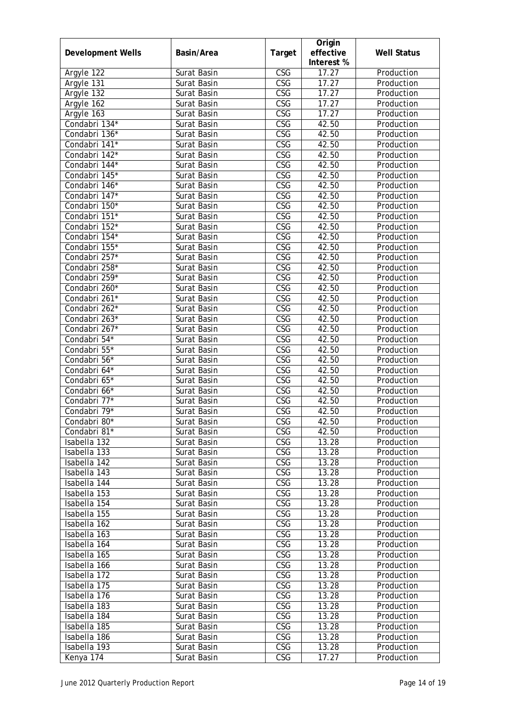| <b>Development Wells</b> | Basin/Area  | Target                  | Origin<br>effective<br>Interest % | <b>Well Status</b> |
|--------------------------|-------------|-------------------------|-----------------------------------|--------------------|
| Argyle 122               | Surat Basin | CSG                     | 17.27                             | Production         |
| Argyle 131               | Surat Basin | <b>CSG</b>              | 17.27                             | Production         |
| Argyle 132               | Surat Basin | $\overline{\text{CSG}}$ | 17.27                             | Production         |
| Argyle 162               | Surat Basin | CSG                     | 17.27                             | Production         |
| Argyle 163               | Surat Basin | $\overline{\text{CSG}}$ | 17.27                             | Production         |
| Condabri 134*            | Surat Basin | $\overline{\text{CSG}}$ | 42.50                             | Production         |
| Condabri 136*            | Surat Basin | <b>CSG</b>              | 42.50                             | Production         |
| Condabri 141*            | Surat Basin | $\overline{\text{CSG}}$ | 42.50                             | Production         |
| Condabri 142*            | Surat Basin | $\overline{\text{CSG}}$ | 42.50                             | Production         |
| Condabri 144*            | Surat Basin | CSG                     | 42.50                             | Production         |
| Condabri 145*            | Surat Basin | CSG                     | 42.50                             | Production         |
| Condabri 146*            | Surat Basin | CSG                     | 42.50                             | Production         |
| Condabri 147*            | Surat Basin | CSG                     | 42.50                             | Production         |
| Condabri 150*            | Surat Basin | CSG                     | 42.50                             | Production         |
| Condabri 151*            | Surat Basin | $\overline{\text{CSG}}$ | 42.50                             | Production         |
| Condabri 152*            | Surat Basin | $\overline{\text{CSG}}$ | 42.50                             | Production         |
| Condabri 154*            | Surat Basin | CSG                     | 42.50                             | Production         |
| Condabri 155*            | Surat Basin | CSG                     | 42.50                             | Production         |
| Condabri 257*            | Surat Basin | CSG                     | 42.50                             | Production         |
| Condabri 258*            | Surat Basin | CSG                     | 42.50                             | Production         |
| Condabri 259*            | Surat Basin | $\overline{\text{CSG}}$ | 42.50                             | Production         |
| Condabri 260*            | Surat Basin | $\overline{\text{CSG}}$ | 42.50                             | Production         |
| Condabri 261*            | Surat Basin | CSG                     | 42.50                             | Production         |
| Condabri 262*            | Surat Basin | CSG                     | 42.50                             | Production         |
| Condabri 263*            | Surat Basin | $\overline{\text{CSG}}$ | 42.50                             | Production         |
| Condabri 267*            | Surat Basin | $\overline{\text{CSG}}$ | 42.50                             | Production         |
| Condabri 54*             | Surat Basin | CSG                     | 42.50                             | Production         |
| Condabri 55*             | Surat Basin | $\overline{\text{CSG}}$ | 42.50                             | Production         |
| Condabri 56*             | Surat Basin | CSG                     | 42.50                             | Production         |
| Condabri 64*             | Surat Basin | CSG                     | 42.50                             | Production         |
| Condabri 65*             | Surat Basin | CSG                     | 42.50                             | Production         |
| Condabri 66*             | Surat Basin | CSG                     | 42.50                             | Production         |
| Condabri 77*             | Surat Basin | CSG                     | 42.50                             | Production         |
| Condabri 79*             | Surat Basin | $\overline{\text{CSG}}$ | 42.50                             | Production         |
| Condabri 80*             | Surat Basin | CSG                     | 42.50                             | Production         |
| Condabri 81*             | Surat Basin | <b>CSG</b>              | 42.50                             | Production         |
| Isabella 132             | Surat Basin | <b>CSG</b>              | 13.28                             | Production         |
| Isabella 133             | Surat Basin | CSG                     | 13.28                             | Production         |
| Isabella 142             | Surat Basin | $\overline{\text{CSG}}$ | 13.28                             | Production         |
| Isabella 143             | Surat Basin | <b>CSG</b>              | 13.28                             | Production         |
| Isabella 144             | Surat Basin | $\overline{\text{CSG}}$ | 13.28                             | Production         |
| Isabella 153             | Surat Basin | $\overline{\text{CSG}}$ | 13.28                             | Production         |
| Isabella 154             | Surat Basin | CSG                     | 13.28                             | Production         |
| Isabella 155             | Surat Basin | CSG                     | 13.28                             | Production         |
| Isabella 162             | Surat Basin | CSG                     | 13.28                             | Production         |
| Isabella 163             | Surat Basin | CSG                     | 13.28                             | Production         |
| Isabella 164             | Surat Basin | $\overline{\text{CSG}}$ | 13.28                             | Production         |
| Isabella 165             | Surat Basin | $\overline{\text{CSG}}$ | 13.28                             | Production         |
| Isabella 166             | Surat Basin | $\overline{\text{CSG}}$ | 13.28                             | Production         |
| Isabella 172             | Surat Basin | CSG                     | 13.28                             | Production         |
| Isabella 175             | Surat Basin | CSG                     | 13.28                             | Production         |
| Isabella 176             | Surat Basin | $\overline{\text{CSG}}$ | 13.28                             | Production         |
| Isabella 183             | Surat Basin | CSG                     | 13.28                             | Production         |
| Isabella 184             | Surat Basin | $\overline{\text{CSG}}$ | 13.28                             | Production         |
| Isabella 185             | Surat Basin | $\overline{\text{CSG}}$ | 13.28                             | Production         |
| Isabella 186             | Surat Basin | CSG                     | 13.28                             | Production         |
| Isabella 193             | Surat Basin | CSG                     | 13.28                             | Production         |
| Kenya 174                | Surat Basin | CSG                     | 17.27                             | Production         |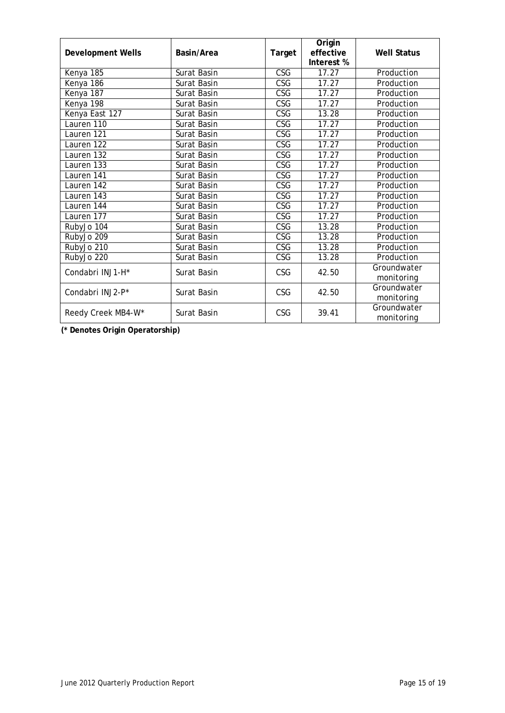| <b>Development Wells</b> | Basin/Area  | Origin<br>effective<br>Target<br>Interest % |                    | <b>Well Status</b> |
|--------------------------|-------------|---------------------------------------------|--------------------|--------------------|
| Kenya 185                | Surat Basin | CSG                                         | 17.27              | Production         |
| Kenya 186                | Surat Basin | $\overline{\text{CSG}}$                     | 17.27              | Production         |
| Kenya 187                | Surat Basin | CSG                                         | $\overline{17.27}$ | Production         |
| Kenya 198                | Surat Basin | CSG                                         | 17.27              | Production         |
| Kenya East 127           | Surat Basin | $\overline{\text{CSG}}$                     | 13.28              | Production         |
| Lauren 110               | Surat Basin | <b>CSG</b>                                  | 17.27              | Production         |
| Lauren 121               | Surat Basin | <b>CSG</b>                                  | 17.27              | Production         |
| Lauren $122$             | Surat Basin | $\overline{\text{CSG}}$                     | 17.27              | Production         |
| Lauren 132               | Surat Basin | <b>CSG</b>                                  | 17.27              | Production         |
| Lauren 133               | Surat Basin | <b>CSG</b>                                  | 17.27              | Production         |
| Lauren 141               | Surat Basin | CSG                                         | 17.27              | Production         |
| Lauren 142               | Surat Basin | <b>CSG</b>                                  | 17.27              | Production         |
| Lauren 143               | Surat Basin | CSG                                         | 17.27              | Production         |
| Lauren 144               | Surat Basin | CSG                                         | 17.27              | Production         |
| Lauren 177               | Surat Basin | CSG                                         | 17.27              | Production         |
| RubyJo 104               | Surat Basin | CSG                                         | 13.28              | Production         |
| RubyJo 209               | Surat Basin | <b>CSG</b>                                  | 13.28              | Production         |
| RubyJo 210               | Surat Basin | $\overline{\text{CSG}}$                     | 13.28              | Production         |
| RubyJo 220               | Surat Basin | CSG                                         | 13.28              | Production         |
| Condabri INJ1-H*         | Surat Basin | CSG                                         | 42.50              | Groundwater        |
|                          |             |                                             |                    | monitoring         |
| Condabri INJ2-P*         | Surat Basin | <b>CSG</b>                                  | 42.50              | Groundwater        |
|                          |             |                                             |                    | monitoring         |
| Reedy Creek MB4-W*       | Surat Basin | CSG                                         | 39.41              | Groundwater        |
|                          |             |                                             |                    | monitoring         |

**(\* Denotes Origin Operatorship)**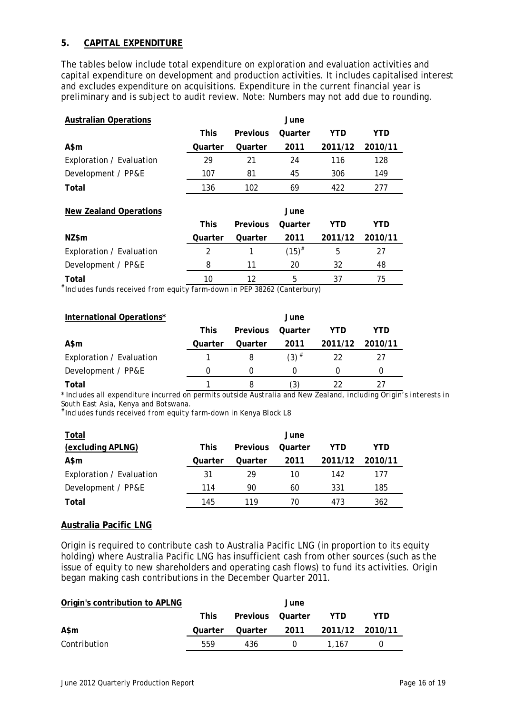## **5. CAPITAL EXPENDITURE**

The tables below include total expenditure on exploration and evaluation activities and capital expenditure on development and production activities. It includes capitalised interest and excludes expenditure on acquisitions. Expenditure in the current financial year is preliminary and is subject to audit review. Note: Numbers may not add due to rounding.

| <b>Australian Operations</b>  |             |          | June       |         |         |
|-------------------------------|-------------|----------|------------|---------|---------|
|                               | <b>This</b> | Previous | Quarter    | YTD     | YTD     |
| A\$m                          | Quarter     | Quarter  | 2011       | 2011/12 | 2010/11 |
| Exploration / Evaluation      | 29          | 21       | 24         | 116     | 128     |
| Development / PP&E            | 107         | 81       | 45         | 306     | 149     |
| Total                         | 136         | 102      | 69         | 422     | 277     |
| <b>New Zealand Operations</b> |             |          | June       |         |         |
|                               | <b>This</b> | Previous | Quarter    | YTD     | YTD     |
| NZ\$m                         | Quarter     | Quarter  | 2011       | 2011/12 | 2010/11 |
| Exploration / Evaluation      | 2           |          | $(15)^{#}$ | 5       | 27      |
| Development / PP&E            | 8           | 11       | 20         | 32      | 48      |
| Total                         | 10          | 12       | 5          | 37      | 75      |

 $*$  Includes funds received from equity farm-down in PEP 38262 (Canterbury)

| International Operations* |             |                 | June               |                 |     |
|---------------------------|-------------|-----------------|--------------------|-----------------|-----|
|                           | <b>This</b> | <b>Previous</b> | Ouarter            | YTD             | YTD |
| A\$m                      | Ouarter     | Ouarter         | 2011               | 2011/12 2010/11 |     |
| Exploration / Evaluation  |             |                 | $(3)$ <sup>#</sup> | 22              | 27  |
| Development / PP&E        |             |                 | O                  |                 |     |
| Total                     |             |                 | (3)                |                 |     |

*\* Includes all expenditure incurred on permits outside Australia and New Zealand, including Origin's interests in South East Asia, Kenya and Botswana.* 

# *Includes funds received from equity farm-down in Kenya Block L8* 

| Total                    |             |                 | June    |         |         |
|--------------------------|-------------|-----------------|---------|---------|---------|
| (excluding APLNG)        | <b>This</b> | <b>Previous</b> | Ouarter | YTD     | YTD     |
| A\$m                     | Quarter     | Quarter         | 2011    | 2011/12 | 2010/11 |
| Exploration / Evaluation | 31          | 29              | 10      | 142     | 177     |
| Development / PP&E       | 114         | 90              | 60      | 331     | 185     |
| Total                    | 145         | 119             | 70      | 473     | 362     |

## **Australia Pacific LNG**

Origin is required to contribute cash to Australia Pacific LNG (in proportion to its equity holding) where Australia Pacific LNG has insufficient cash from other sources (such as the issue of equity to new shareholders and operating cash flows) to fund its activities. Origin began making cash contributions in the December Quarter 2011.

| Origin's contribution to APLNG |         |                  | June |                              |     |
|--------------------------------|---------|------------------|------|------------------------------|-----|
|                                | This.   | Previous Quarter |      | YTD.                         | YTD |
| A\$m                           | Quarter |                  |      | Quarter 2011 2011/12 2010/11 |     |
| Contribution                   | 559     | 436              |      | 1.167                        | U   |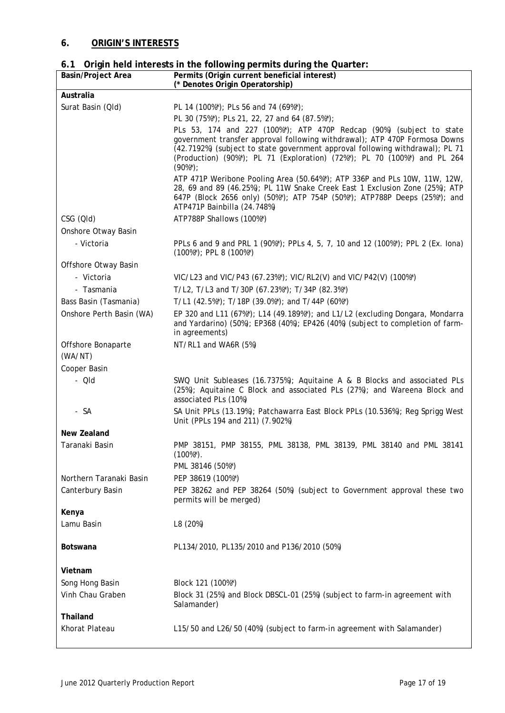## **6. ORIGIN'S INTERESTS**

|  |  |  | 6.1 Origin held interests in the following permits during the Quarter: |
|--|--|--|------------------------------------------------------------------------|
|  |  |  |                                                                        |

| Basin/Project Area       | Permits (Origin current beneficial interest)<br>(* Denotes Origin Operatorship)                                                                                                                                                                                                                                              |
|--------------------------|------------------------------------------------------------------------------------------------------------------------------------------------------------------------------------------------------------------------------------------------------------------------------------------------------------------------------|
| Australia                |                                                                                                                                                                                                                                                                                                                              |
| Surat Basin (Qld)        | PL 14 (100%*); PLs 56 and 74 (69%*);                                                                                                                                                                                                                                                                                         |
|                          | PL 30 (75%*); PLs 21, 22, 27 and 64 (87.5%*);                                                                                                                                                                                                                                                                                |
|                          | PLs 53, 174 and 227 (100%*); ATP 470P Redcap (90%) (subject to state<br>government transfer approval following withdrawal); ATP 470P Formosa Downs<br>(42.7192%) (subject to state government approval following withdrawal); PL 71<br>(Production) (90%*); PL 71 (Exploration) (72%*); PL 70 (100%*) and PL 264<br>$(90\%)$ |
|                          | ATP 471P Weribone Pooling Area (50.64%*); ATP 336P and PLs 10W, 11W, 12W,<br>28, 69 and 89 (46.25%); PL 11W Snake Creek East 1 Exclusion Zone (25%); ATP<br>647P (Block 2656 only) (50%*); ATP 754P (50%*); ATP788P Deeps (25%*); and<br>ATP471P Bainbilla (24.748%)                                                         |
| CSG (QId)                | ATP788P Shallows (100%*)                                                                                                                                                                                                                                                                                                     |
| Onshore Otway Basin      |                                                                                                                                                                                                                                                                                                                              |
| - Victoria               | PPLs 6 and 9 and PRL 1 (90%*); PPLs 4, 5, 7, 10 and 12 (100%*); PPL 2 (Ex. lona)<br>$(100\%)$ ; PPL 8 $(100\%)$                                                                                                                                                                                                              |
| Offshore Otway Basin     |                                                                                                                                                                                                                                                                                                                              |
| - Victoria               | VIC/L23 and VIC/P43 (67.23%*); VIC/RL2(V) and VIC/P42(V) (100%*)                                                                                                                                                                                                                                                             |
| - Tasmania               | T/L2, T/L3 and T/30P (67.23%*); T/34P (82.3%*)                                                                                                                                                                                                                                                                               |
| Bass Basin (Tasmania)    | T/L1 (42.5%*); T/18P (39.0%*); and T/44P (60%*)                                                                                                                                                                                                                                                                              |
| Onshore Perth Basin (WA) | EP 320 and L11 (67%*); L14 (49.189%*); and L1/L2 (excluding Dongara, Mondarra<br>and Yardarino) (50%); EP368 (40%); EP426 (40%) (subject to completion of farm-<br>in agreements)                                                                                                                                            |
| Offshore Bonaparte       | NT/RL1 and WA6R (5%)                                                                                                                                                                                                                                                                                                         |
| (WA/NT)                  |                                                                                                                                                                                                                                                                                                                              |
| Cooper Basin             |                                                                                                                                                                                                                                                                                                                              |
| - Qld                    | SWQ Unit Subleases (16.7375%); Aquitaine A & B Blocks and associated PLs<br>(25%); Aquitaine C Block and associated PLs (27%); and Wareena Block and<br>associated PLs (10%)                                                                                                                                                 |
| - SA                     | SA Unit PPLs (13.19%); Patchawarra East Block PPLs (10.536%); Reg Sprigg West<br>Unit (PPLs 194 and 211) (7.902%)                                                                                                                                                                                                            |
| New Zealand              |                                                                                                                                                                                                                                                                                                                              |
| Taranaki Basin           | PMP 38151, PMP 38155, PML 38138, PML 38139, PML 38140 and PML 38141<br>$(100\%)$ .<br>PML 38146 (50%*)                                                                                                                                                                                                                       |
| Northern Taranaki Basin  | PEP 38619 (100%*)                                                                                                                                                                                                                                                                                                            |
| Canterbury Basin         | PEP 38262 and PEP 38264 (50%) (subject to Government approval these two<br>permits will be merged)                                                                                                                                                                                                                           |
| Kenya                    |                                                                                                                                                                                                                                                                                                                              |
| Lamu Basin               | L8 (20%)                                                                                                                                                                                                                                                                                                                     |
| Botswana                 | PL134/2010, PL135/2010 and P136/2010 (50%)                                                                                                                                                                                                                                                                                   |
| Vietnam                  |                                                                                                                                                                                                                                                                                                                              |
| Song Hong Basin          | Block 121 (100%*)                                                                                                                                                                                                                                                                                                            |
| Vinh Chau Graben         | Block 31 (25%) and Block DBSCL-01 (25%) (subject to farm-in agreement with<br>Salamander)                                                                                                                                                                                                                                    |
| Thailand                 |                                                                                                                                                                                                                                                                                                                              |
| Khorat Plateau           | L15/50 and L26/50 (40%) (subject to farm-in agreement with Salamander)                                                                                                                                                                                                                                                       |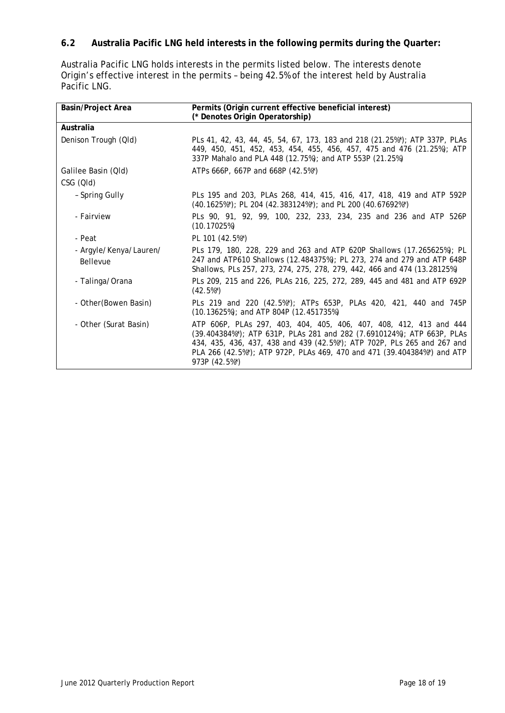## **6.2 Australia Pacific LNG held interests in the following permits during the Quarter:**

Australia Pacific LNG holds interests in the permits listed below. The interests denote Origin's effective interest in the permits – being 42.5% of the interest held by Australia Pacific LNG.

| <b>Basin/Project Area</b>                 | Permits (Origin current effective beneficial interest)<br>(* Denotes Origin Operatorship)                                                                                                                                                                                                                           |
|-------------------------------------------|---------------------------------------------------------------------------------------------------------------------------------------------------------------------------------------------------------------------------------------------------------------------------------------------------------------------|
| Australia                                 |                                                                                                                                                                                                                                                                                                                     |
| Denison Trough (Qld)                      | PLs 41, 42, 43, 44, 45, 54, 67, 173, 183 and 218 (21.25%*); ATP 337P, PLAs<br>449, 450, 451, 452, 453, 454, 455, 456, 457, 475 and 476 (21.25%); ATP<br>337P Mahalo and PLA 448 (12.75%); and ATP 553P (21.25%)                                                                                                     |
| Galilee Basin (Qld)                       | ATPs 666P, 667P and 668P (42.5%*)                                                                                                                                                                                                                                                                                   |
| CSG (QId)                                 |                                                                                                                                                                                                                                                                                                                     |
| - Spring Gully                            | PLs 195 and 203, PLAs 268, 414, 415, 416, 417, 418, 419 and ATP 592P<br>(40.1625%*); PL 204 (42.383124%*); and PL 200 (40.67692%*)                                                                                                                                                                                  |
| - Fairview                                | PLs 90, 91, 92, 99, 100, 232, 233, 234, 235 and 236 and ATP 526P<br>(10.17025%)                                                                                                                                                                                                                                     |
| - Peat                                    | PL 101 (42.5%*)                                                                                                                                                                                                                                                                                                     |
| - Argyle/Kenya/Lauren/<br><b>Bellevue</b> | PLs 179, 180, 228, 229 and 263 and ATP 620P Shallows (17.265625%); PL<br>247 and ATP610 Shallows (12.484375%); PL 273, 274 and 279 and ATP 648P<br>Shallows, PLs 257, 273, 274, 275, 278, 279, 442, 466 and 474 (13.28125%)                                                                                         |
| - Talinga/Orana                           | PLs 209, 215 and 226, PLAs 216, 225, 272, 289, 445 and 481 and ATP 692P<br>$(42.5\%)$                                                                                                                                                                                                                               |
| - Other (Bowen Basin)                     | PLs 219 and 220 (42.5%*); ATPs 653P, PLAs 420, 421, 440 and 745P<br>$(10.13625%)$ ; and ATP 804P $(12.451735%)$                                                                                                                                                                                                     |
| - Other (Surat Basin)                     | ATP 606P, PLAs 297, 403, 404, 405, 406, 407, 408, 412, 413 and 444<br>(39.404384%*); ATP 631P, PLAs 281 and 282 (7.6910124%); ATP 663P, PLAs<br>434, 435, 436, 437, 438 and 439 (42.5%*); ATP 702P, PLs 265 and 267 and<br>PLA 266 (42.5%*); ATP 972P, PLAs 469, 470 and 471 (39.404384%*) and ATP<br>973P (42.5%*) |